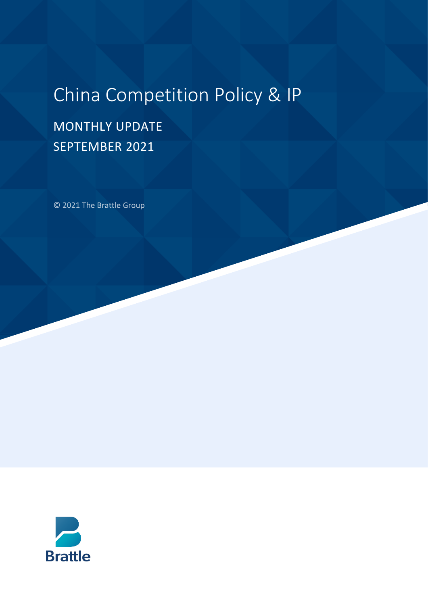# China Competition Policy & IP

# MONTHLY UPDATE SEPTEMBER 2021

© 2021 The Brattle Group

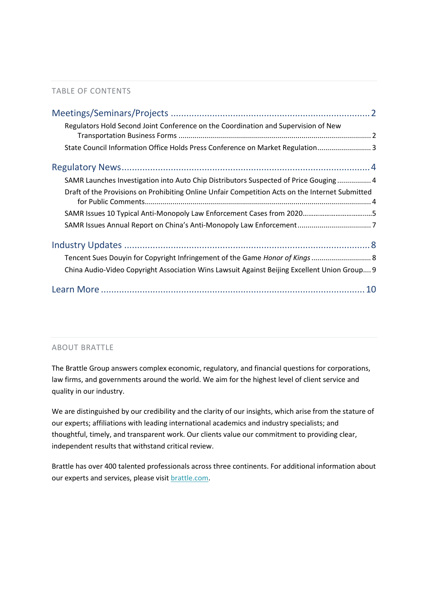#### TABLE OF CONTENTS

| Regulators Hold Second Joint Conference on the Coordination and Supervision of New              |
|-------------------------------------------------------------------------------------------------|
| State Council Information Office Holds Press Conference on Market Regulation 3                  |
|                                                                                                 |
| SAMR Launches Investigation into Auto Chip Distributors Suspected of Price Gouging  4           |
| Draft of the Provisions on Prohibiting Online Unfair Competition Acts on the Internet Submitted |
|                                                                                                 |
|                                                                                                 |
|                                                                                                 |
| Tencent Sues Douyin for Copyright Infringement of the Game Honor of Kings  8                    |
| China Audio-Video Copyright Association Wins Lawsuit Against Beijing Excellent Union Group 9    |
|                                                                                                 |

#### ABOUT BRATTLE

The Brattle Group answers complex economic, regulatory, and financial questions for corporations, law firms, and governments around the world. We aim for the highest level of client service and quality in our industry.

We are distinguished by our credibility and the clarity of our insights, which arise from the stature of our experts; affiliations with leading international academics and industry specialists; and thoughtful, timely, and transparent work. Our clients value our commitment to providing clear, independent results that withstand critical review.

Brattle has over 400 talented professionals across three continents. For additional information about our experts and services, please visi[t brattle.com.](https://www.brattle.com/)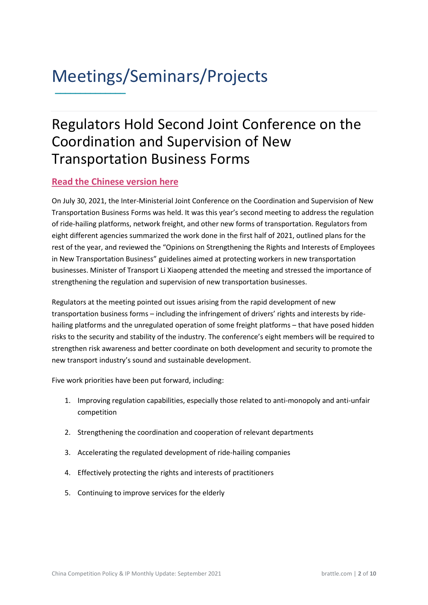### <span id="page-2-0"></span>Meetings/Seminars/Projects **\_\_\_\_\_\_\_\_\_\_\_\_\_\_**

### <span id="page-2-1"></span>Regulators Hold Second Joint Conference on the Coordination and Supervision of New Transportation Business Forms

#### **[Read the Chinese version here](https://www.mot.gov.cn/buzhangwangye/lixiaopeng/zhongyaohuodonghejianghua/202108/t20210802_3613876.html)**

On July 30, 2021, the Inter-Ministerial Joint Conference on the Coordination and Supervision of New Transportation Business Forms was held. It was this year's second meeting to address the regulation of ride-hailing platforms, network freight, and other new forms of transportation. Regulators from eight different agencies summarized the work done in the first half of 2021, outlined plans for the rest of the year, and reviewed the "Opinions on Strengthening the Rights and Interests of Employees in New Transportation Business" guidelines aimed at protecting workers in new transportation businesses. Minister of Transport Li Xiaopeng attended the meeting and stressed the importance of strengthening the regulation and supervision of new transportation businesses.

Regulators at the meeting pointed out issues arising from the rapid development of new transportation business forms – including the infringement of drivers' rights and interests by ridehailing platforms and the unregulated operation of some freight platforms – that have posed hidden risks to the security and stability of the industry. The conference's eight members will be required to strengthen risk awareness and better coordinate on both development and security to promote the new transport industry's sound and sustainable development.

Five work priorities have been put forward, including:

- 1. Improving regulation capabilities, especially those related to anti-monopoly and anti-unfair competition
- 2. Strengthening the coordination and cooperation of relevant departments
- 3. Accelerating the regulated development of ride-hailing companies
- 4. Effectively protecting the rights and interests of practitioners
- 5. Continuing to improve services for the elderly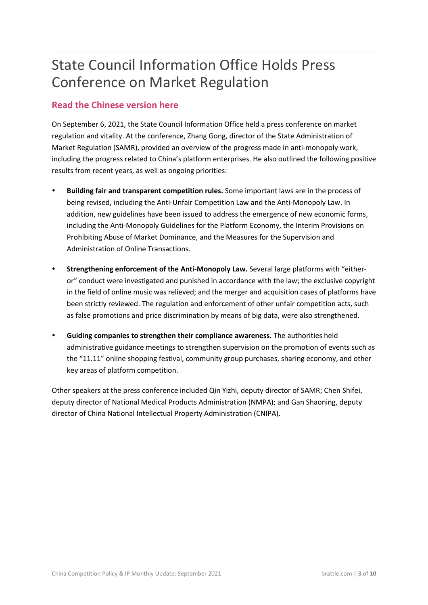# <span id="page-3-0"></span>State Council Information Office Holds Press Conference on Market Regulation

#### **[Read the Chinese version here](https://baijiahao.baidu.com/s?id=1710203440277562056&wfr=spider&for=pc)**

On September 6, 2021, the State Council Information Office held a press conference on market regulation and vitality. At the conference, Zhang Gong, director of the State Administration of Market Regulation (SAMR), provided an overview of the progress made in anti-monopoly work, including the progress related to China's platform enterprises. He also outlined the following positive results from recent years, as well as ongoing priorities:

- **Building fair and transparent competition rules.** Some important laws are in the process of being revised, including the Anti-Unfair Competition Law and the Anti-Monopoly Law. In addition, new guidelines have been issued to address the emergence of new economic forms, including the Anti-Monopoly Guidelines for the Platform Economy, the Interim Provisions on Prohibiting Abuse of Market Dominance, and the Measures for the Supervision and Administration of Online Transactions.
- **Strengthening enforcement of the Anti-Monopoly Law.** Several large platforms with "eitheror" conduct were investigated and punished in accordance with the law; the exclusive copyright in the field of online music was relieved; and the merger and acquisition cases of platforms have been strictly reviewed. The regulation and enforcement of other unfair competition acts, such as false promotions and price discrimination by means of big data, were also strengthened.
- **Guiding companies to strengthen their compliance awareness.** The authorities held administrative guidance meetings to strengthen supervision on the promotion of events such as the "11.11" online shopping festival, community group purchases, sharing economy, and other key areas of platform competition.

Other speakers at the press conference included Qin Yizhi, deputy director of SAMR; Chen Shifei, deputy director of National Medical Products Administration (NMPA); and Gan Shaoning, deputy director of China National Intellectual Property Administration (CNIPA).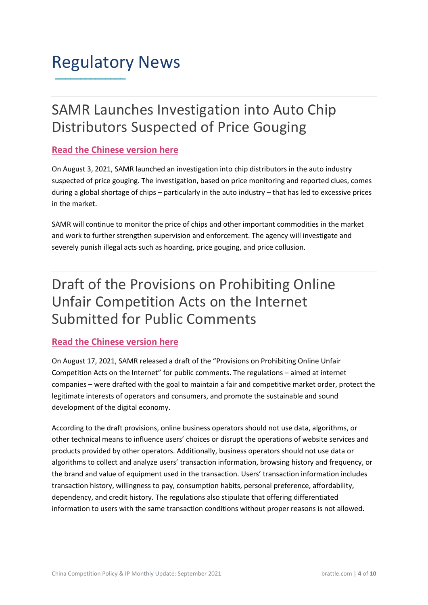### <span id="page-4-0"></span>Regulatory News **\_\_\_\_\_\_\_\_\_\_\_\_\_\_**

### <span id="page-4-1"></span>SAMR Launches Investigation into Auto Chip Distributors Suspected of Price Gouging

#### **[Read the Chinese version here](http://www.samr.gov.cn/xw/zj/202108/t20210803_333318.html)**

On August 3, 2021, SAMR launched an investigation into chip distributors in the auto industry suspected of price gouging. The investigation, based on price monitoring and reported clues, comes during a global shortage of chips – particularly in the auto industry – that has led to excessive prices in the market.

SAMR will continue to monitor the price of chips and other important commodities in the market and work to further strengthen supervision and enforcement. The agency will investigate and severely punish illegal acts such as hoarding, price gouging, and price collusion.

### <span id="page-4-2"></span>Draft of the Provisions on Prohibiting Online Unfair Competition Acts on the Internet Submitted for Public Comments

#### **[Read the Chinese version here](http://www.samr.gov.cn/hd/zjdc/202108/t20210817_333683.html)**

On August 17, 2021, SAMR released a draft of the "Provisions on Prohibiting Online Unfair Competition Acts on the Internet" for public comments. The regulations – aimed at internet companies – were drafted with the goal to maintain a fair and competitive market order, protect the legitimate interests of operators and consumers, and promote the sustainable and sound development of the digital economy.

According to the draft provisions, online business operators should not use data, algorithms, or other technical means to influence users' choices or disrupt the operations of website services and products provided by other operators. Additionally, business operators should not use data or algorithms to collect and analyze users' transaction information, browsing history and frequency, or the brand and value of equipment used in the transaction. Users' transaction information includes transaction history, willingness to pay, consumption habits, personal preference, affordability, dependency, and credit history. The regulations also stipulate that offering differentiated information to users with the same transaction conditions without proper reasons is not allowed.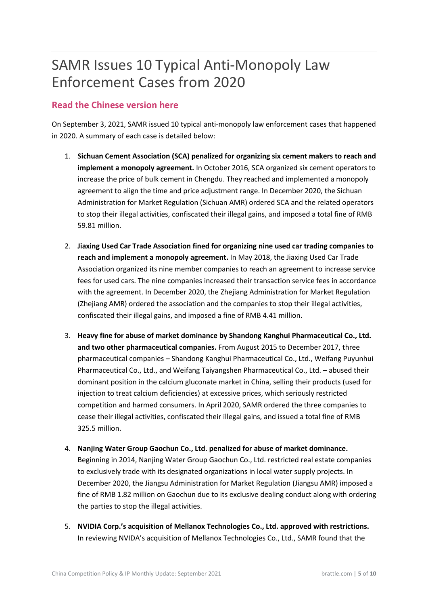# SAMR Issues 10 Typical Anti-Monopoly Law Enforcement Cases from 2020

#### **[Read the Chinese version here](http://www.samr.gov.cn/xw/zj/202109/t20210903_334368.html)**

On September 3, 2021, SAMR issued 10 typical anti-monopoly law enforcement cases that happened in 2020. A summary of each case is detailed below:

- 1. **Sichuan Cement Association (SCA) penalized for organizing six cement makers to reach and implement a monopoly agreement.** In October 2016, SCA organized six cement operators to increase the price of bulk cement in Chengdu. They reached and implemented a monopoly agreement to align the time and price adjustment range. In December 2020, the Sichuan Administration for Market Regulation (Sichuan AMR) ordered SCA and the related operators to stop their illegal activities, confiscated their illegal gains, and imposed a total fine of RMB 59.81 million.
- 2. **Jiaxing Used Car Trade Association fined for organizing nine used car trading companies to reach and implement a monopoly agreement.** In May 2018, the Jiaxing Used Car Trade Association organized its nine member companies to reach an agreement to increase service fees for used cars. The nine companies increased their transaction service fees in accordance with the agreement. In December 2020, the Zhejiang Administration for Market Regulation (Zhejiang AMR) ordered the association and the companies to stop their illegal activities, confiscated their illegal gains, and imposed a fine of RMB 4.41 million.
- 3. **Heavy fine for abuse of market dominance by Shandong Kanghui Pharmaceutical Co., Ltd. and two other pharmaceutical companies.** From August 2015 to December 2017, three pharmaceutical companies – Shandong Kanghui Pharmaceutical Co., Ltd., Weifang Puyunhui Pharmaceutical Co., Ltd., and Weifang Taiyangshen Pharmaceutical Co., Ltd. – abused their dominant position in the calcium gluconate market in China, selling their products (used for injection to treat calcium deficiencies) at excessive prices, which seriously restricted competition and harmed consumers. In April 2020, SAMR ordered the three companies to cease their illegal activities, confiscated their illegal gains, and issued a total fine of RMB 325.5 million.
- 4. **Nanjing Water Group Gaochun Co., Ltd. penalized for abuse of market dominance.**  Beginning in 2014, Nanjing Water Group Gaochun Co., Ltd. restricted real estate companies to exclusively trade with its designated organizations in local water supply projects. In December 2020, the Jiangsu Administration for Market Regulation (Jiangsu AMR) imposed a fine of RMB 1.82 million on Gaochun due to its exclusive dealing conduct along with ordering the parties to stop the illegal activities.
- 5. **NVIDIA Corp.'s acquisition of Mellanox Technologies Co., Ltd. approved with restrictions.** In reviewing NVIDA's acquisition of Mellanox Technologies Co., Ltd., SAMR found that the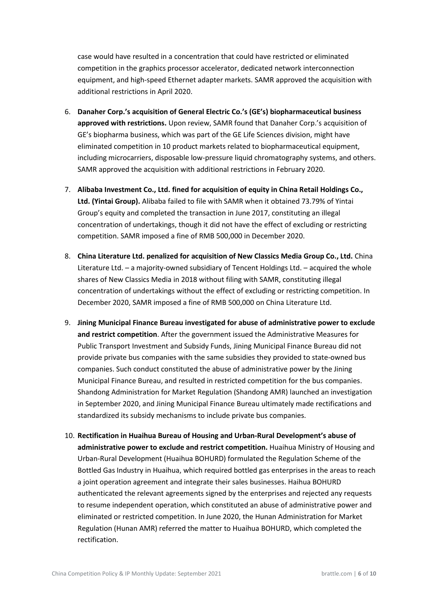case would have resulted in a concentration that could have restricted or eliminated competition in the graphics processor accelerator, dedicated network interconnection equipment, and high-speed Ethernet adapter markets. SAMR approved the acquisition with additional restrictions in April 2020.

- 6. **Danaher Corp.'s acquisition of General Electric Co.'s (GE's) biopharmaceutical business approved with restrictions.** Upon review, SAMR found that Danaher Corp.'s acquisition of GE's biopharma business, which was part of the GE Life Sciences division, might have eliminated competition in 10 product markets related to biopharmaceutical equipment, including microcarriers, disposable low-pressure liquid chromatography systems, and others. SAMR approved the acquisition with additional restrictions in February 2020.
- 7. **Alibaba Investment Co., Ltd. fined for acquisition of equity in China Retail Holdings Co., Ltd. (Yintai Group).** Alibaba failed to file with SAMR when it obtained 73.79% of Yintai Group's equity and completed the transaction in June 2017, constituting an illegal concentration of undertakings, though it did not have the effect of excluding or restricting competition. SAMR imposed a fine of RMB 500,000 in December 2020.
- 8. **China Literature Ltd. penalized for acquisition of New Classics Media Group Co., Ltd.** China Literature Ltd. – a majority-owned subsidiary of Tencent Holdings Ltd. – acquired the whole shares of New Classics Media in 2018 without filing with SAMR, constituting illegal concentration of undertakings without the effect of excluding or restricting competition. In December 2020, SAMR imposed a fine of RMB 500,000 on China Literature Ltd.
- 9. **Jining Municipal Finance Bureau investigated for abuse of administrative power to exclude and restrict competition**. After the government issued the Administrative Measures for Public Transport Investment and Subsidy Funds, Jining Municipal Finance Bureau did not provide private bus companies with the same subsidies they provided to state-owned bus companies. Such conduct constituted the abuse of administrative power by the Jining Municipal Finance Bureau, and resulted in restricted competition for the bus companies. Shandong Administration for Market Regulation (Shandong AMR) launched an investigation in September 2020, and Jining Municipal Finance Bureau ultimately made rectifications and standardized its subsidy mechanisms to include private bus companies.
- 10. **Rectification in Huaihua Bureau of Housing and Urban-Rural Development's abuse of administrative power to exclude and restrict competition.** Huaihua Ministry of Housing and Urban-Rural Development (Huaihua BOHURD) formulated the Regulation Scheme of the Bottled Gas Industry in Huaihua, which required bottled gas enterprises in the areas to reach a joint operation agreement and integrate their sales businesses. Haihua BOHURD authenticated the relevant agreements signed by the enterprises and rejected any requests to resume independent operation, which constituted an abuse of administrative power and eliminated or restricted competition. In June 2020, the Hunan Administration for Market Regulation (Hunan AMR) referred the matter to Huaihua BOHURD, which completed the rectification.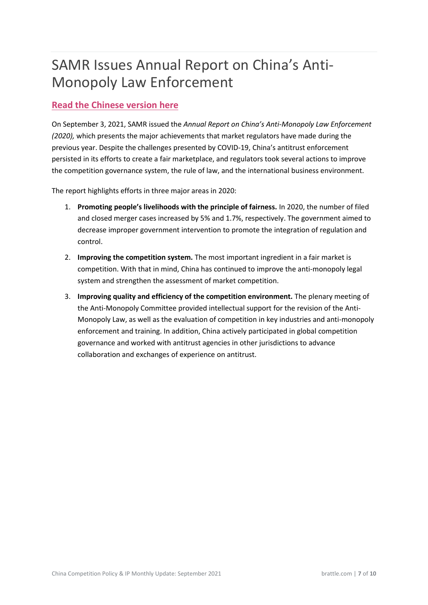# <span id="page-7-0"></span>SAMR Issues Annual Report on China's Anti-Monopoly Law Enforcement

#### **[Read the Chinese version here](http://www.samr.gov.cn/xw/zj/202109/t20210903_334364.html)**

On September 3, 2021, SAMR issued the *Annual Report on China's Anti-Monopoly Law Enforcement (2020),* which presents the major achievements that market regulators have made during the previous year. Despite the challenges presented by COVID-19, China's antitrust enforcement persisted in its efforts to create a fair marketplace, and regulators took several actions to improve the competition governance system, the rule of law, and the international business environment.

The report highlights efforts in three major areas in 2020:

- 1. **Promoting people's livelihoods with the principle of fairness.** In 2020, the number of filed and closed merger cases increased by 5% and 1.7%, respectively. The government aimed to decrease improper government intervention to promote the integration of regulation and control.
- 2. **Improving the competition system.** The most important ingredient in a fair market is competition. With that in mind, China has continued to improve the anti-monopoly legal system and strengthen the assessment of market competition.
- 3. **Improving quality and efficiency of the competition environment.** The plenary meeting of the Anti-Monopoly Committee provided intellectual support for the revision of the Anti-Monopoly Law, as well as the evaluation of competition in key industries and anti-monopoly enforcement and training. In addition, China actively participated in global competition governance and worked with antitrust agencies in other jurisdictions to advance collaboration and exchanges of experience on antitrust.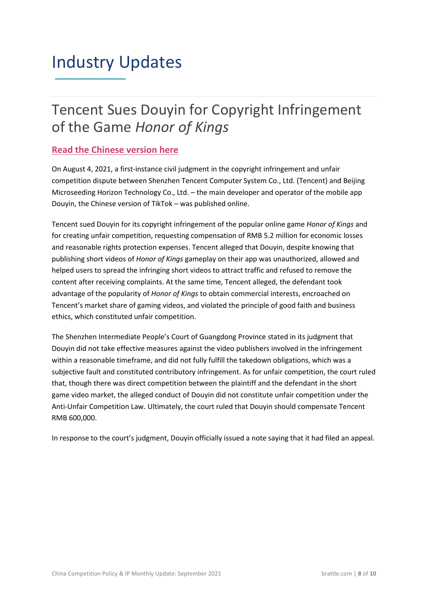### <span id="page-8-0"></span>Industry Updates **\_\_\_\_\_\_\_\_\_\_\_\_\_\_**

### <span id="page-8-1"></span>Tencent Sues Douyin for Copyright Infringement of the Game *Honor of Kings*

#### **[Read the Chinese version here](http://www.nbd.com.cn/articles/2021-08-10/1869696.html)**

On August 4, 2021, a first-instance civil judgment in the copyright infringement and unfair competition dispute between Shenzhen Tencent Computer System Co., Ltd. (Tencent) and Beijing Microseeding Horizon Technology Co., Ltd. – the main developer and operator of the mobile app Douyin, the Chinese version of TikTok – was published online.

Tencent sued Douyin for its copyright infringement of the popular online game *Honor of Kings* and for creating unfair competition, requesting compensation of RMB 5.2 million for economic losses and reasonable rights protection expenses. Tencent alleged that Douyin, despite knowing that publishing short videos of *Honor of Kings* gameplay on their app was unauthorized, allowed and helped users to spread the infringing short videos to attract traffic and refused to remove the content after receiving complaints. At the same time, Tencent alleged, the defendant took advantage of the popularity of *Honor of Kings* to obtain commercial interests, encroached on Tencent's market share of gaming videos, and violated the principle of good faith and business ethics, which constituted unfair competition.

The Shenzhen Intermediate People's Court of Guangdong Province stated in its judgment that Douyin did not take effective measures against the video publishers involved in the infringement within a reasonable timeframe, and did not fully fulfill the takedown obligations, which was a subjective fault and constituted contributory infringement. As for unfair competition, the court ruled that, though there was direct competition between the plaintiff and the defendant in the short game video market, the alleged conduct of Douyin did not constitute unfair competition under the Anti-Unfair Competition Law. Ultimately, the court ruled that Douyin should compensate Tencent RMB 600,000.

In response to the court's judgment, Douyin officially issued a note saying that it had filed an appeal.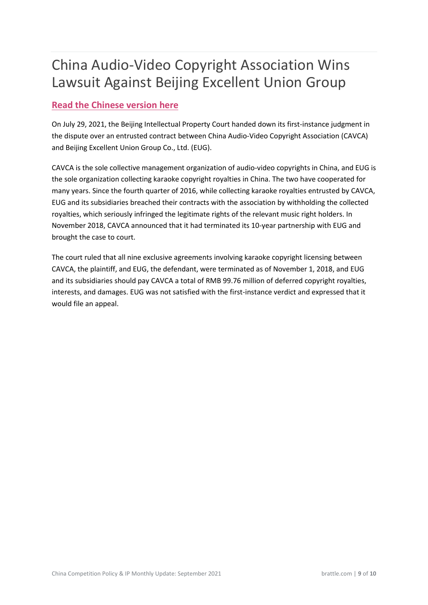# <span id="page-9-0"></span>China Audio-Video Copyright Association Wins Lawsuit Against Beijing Excellent Union Group

#### **[Read the Chinese version here](http://cneip.org.cn/html/17/41799.html)**

On July 29, 2021, the Beijing Intellectual Property Court handed down its first-instance judgment in the dispute over an entrusted contract between China Audio-Video Copyright Association (CAVCA) and Beijing Excellent Union Group Co., Ltd. (EUG).

CAVCA is the sole collective management organization of audio-video copyrights in China, and EUG is the sole organization collecting karaoke copyright royalties in China. The two have cooperated for many years. Since the fourth quarter of 2016, while collecting karaoke royalties entrusted by CAVCA, EUG and its subsidiaries breached their contracts with the association by withholding the collected royalties, which seriously infringed the legitimate rights of the relevant music right holders. In November 2018, CAVCA announced that it had terminated its 10-year partnership with EUG and brought the case to court.

The court ruled that all nine exclusive agreements involving karaoke copyright licensing between CAVCA, the plaintiff, and EUG, the defendant, were terminated as of November 1, 2018, and EUG and its subsidiaries should pay CAVCA a total of RMB 99.76 million of deferred copyright royalties, interests, and damages. EUG was not satisfied with the first-instance verdict and expressed that it would file an appeal.